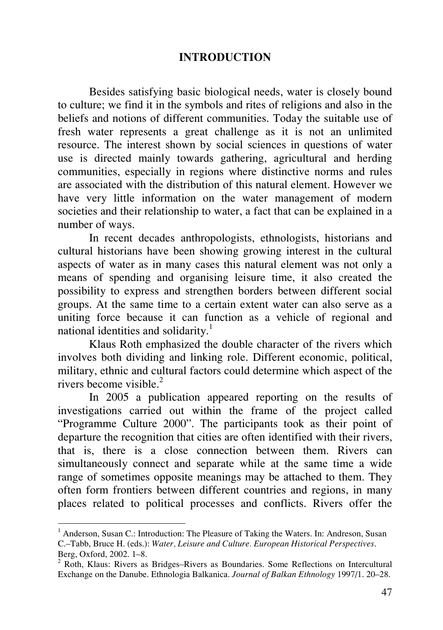## **INTRODUCTION**

Besides satisfying basic biological needs, water is closely bound to culture; we find it in the symbols and rites of religions and also in the beliefs and notions of different communities. Today the suitable use of fresh water represents a great challenge as it is not an unlimited resource. The interest shown by social sciences in questions of water use is directed mainly towards gathering, agricultural and herding communities, especially in regions where distinctive norms and rules are associated with the distribution of this natural element. However we have very little information on the water management of modern societies and their relationship to water, a fact that can be explained in a number of ways.

In recent decades anthropologists, ethnologists, historians and cultural historians have been showing growing interest in the cultural aspects of water as in many cases this natural element was not only a means of spending and organising leisure time, it also created the possibility to express and strengthen borders between different social groups. At the same time to a certain extent water can also serve as a uniting force because it can function as a vehicle of regional and national identities and solidarity.<sup>1</sup>

Klaus Roth emphasized the double character of the rivers which involves both dividing and linking role. Different economic, political, military, ethnic and cultural factors could determine which aspect of the rivers become visible. $^{2}$ 

In 2005 a publication appeared reporting on the results of investigations carried out within the frame of the project called "Programme Culture 2000". The participants took as their point of departure the recognition that cities are often identified with their rivers, that is, there is a close connection between them. Rivers can simultaneously connect and separate while at the same time a wide range of sometimes opposite meanings may be attached to them. They often form frontiers between different countries and regions, in many places related to political processes and conflicts. Rivers offer the

-

<sup>&</sup>lt;sup>1</sup> Anderson, Susan C.: Introduction: The Pleasure of Taking the Waters. In: Andreson, Susan C.–Tabb, Bruce H. (eds.): *Water, Leisure and Culture. European Historical Perspectives*. Berg, Oxford, 2002. 1–8.

<sup>&</sup>lt;sup>2</sup> Roth, Klaus: Rivers as Bridges–Rivers as Boundaries. Some Reflections on Intercultural Exchange on the Danube. Ethnologia Balkanica. *Journal of Balkan Ethnology* 1997/1. 20–28.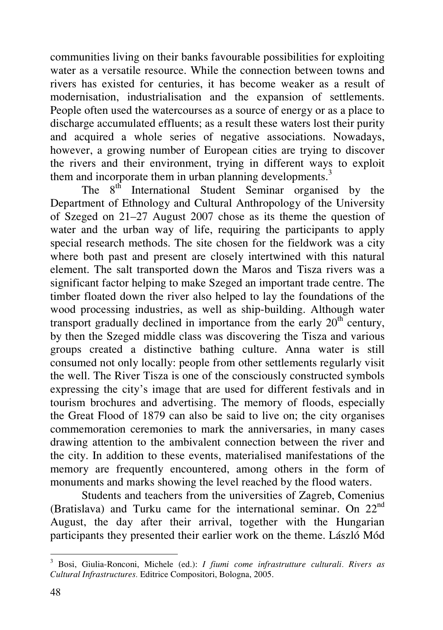communities living on their banks favourable possibilities for exploiting water as a versatile resource. While the connection between towns and rivers has existed for centuries, it has become weaker as a result of modernisation, industrialisation and the expansion of settlements. People often used the watercourses as a source of energy or as a place to discharge accumulated effluents; as a result these waters lost their purity and acquired a whole series of negative associations. Nowadays, however, a growing number of European cities are trying to discover the rivers and their environment, trying in different ways to exploit them and incorporate them in urban planning developments.<sup>3</sup>

The  $8<sup>th</sup>$  International Student Seminar organised by the Department of Ethnology and Cultural Anthropology of the University of Szeged on 21–27 August 2007 chose as its theme the question of water and the urban way of life, requiring the participants to apply special research methods. The site chosen for the fieldwork was a city where both past and present are closely intertwined with this natural element. The salt transported down the Maros and Tisza rivers was a significant factor helping to make Szeged an important trade centre. The timber floated down the river also helped to lay the foundations of the wood processing industries, as well as ship-building. Although water transport gradually declined in importance from the early  $20<sup>th</sup>$  century, by then the Szeged middle class was discovering the Tisza and various groups created a distinctive bathing culture. Anna water is still consumed not only locally: people from other settlements regularly visit the well. The River Tisza is one of the consciously constructed symbols expressing the city's image that are used for different festivals and in tourism brochures and advertising. The memory of floods, especially the Great Flood of 1879 can also be said to live on; the city organises commemoration ceremonies to mark the anniversaries, in many cases drawing attention to the ambivalent connection between the river and the city. In addition to these events, materialised manifestations of the memory are frequently encountered, among others in the form of monuments and marks showing the level reached by the flood waters.

Students and teachers from the universities of Zagreb, Comenius (Bratislava) and Turku came for the international seminar. On 22nd August, the day after their arrival, together with the Hungarian participants they presented their earlier work on the theme. László Mód

 3 Bosi, Giulia-Ronconi, Michele (ed.): *I fiumi come infrastrutture culturali. Rivers as Cultural Infrastructures.* Editrice Compositori, Bologna, 2005.